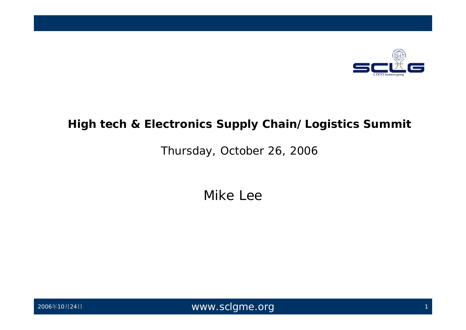

#### **High tech & Electronics Supply Chain/Logistics Summit**

#### Thursday, October 26, 2006

Mike Lee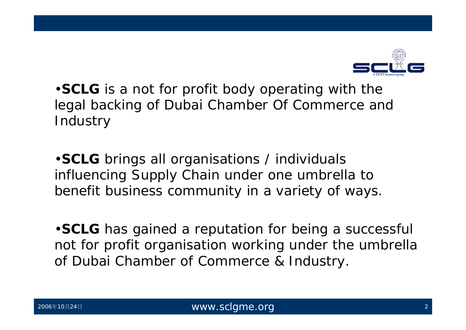

•**SCLG** is a not for profit body operating with the legal backing of Dubai Chamber Of Commerce and **Industry** 

•**SCLG** brings all organisations / individuals influencing Supply Chain under one umbrella to benefit business community in a variety of ways.

•**SCLG** has gained a reputation for being a successful not for profit organisation working under the umbrella of Dubai Chamber of Commerce & Industry.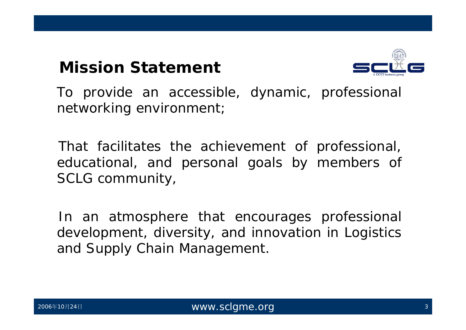# **Mission Statement**



To provide an accessible, dynamic, professional networking environment;

That facilitates the achievement of professional, educational, and personal goals by members of SCLG community,

In an atmosphere that encourages professional development, diversity, and innovation in Logistics and Supply Chain Management.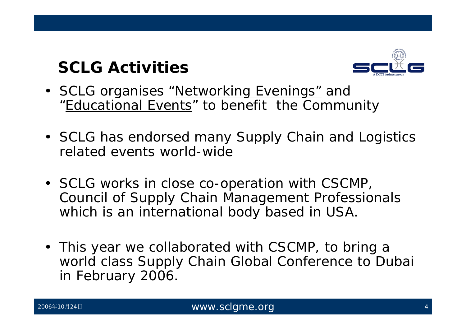# **SCLG Activities**



- SCLG organises "Networking Evenings" and "Educational Events" to benefit the Community
- SCLG has endorsed many Supply Chain and Logistics related events world-wide
- SCLG works in close co-operation with CSCMP, Council of Supply Chain Management Professionals which is an international body based in USA.
- This year we collaborated with CSCMP, to bring a world class Supply Chain Global Conference to Dubai in February 2006.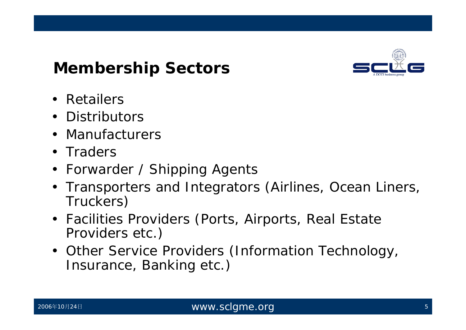# **Membership Sectors**

- $\bullet$ Retailers
- •**Distributors**
- •Manufacturers
- Traders
- Forwarder / Shipping Agents
- Transporters and Integrators (Airlines, Ocean Liners, Truckers)
- Facilities Providers (Ports, Airports, Real Estate Providers etc.)
- Other Service Providers (Information Technology, Insurance, Banking etc.)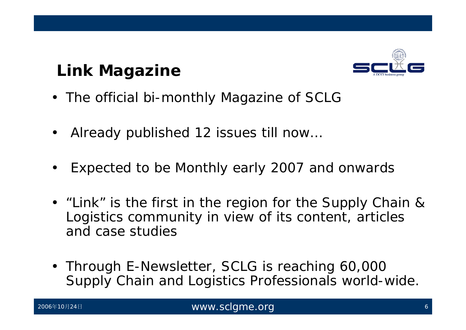# **Link Magazine**

- The official bi-monthly Magazine of SCLG
- •Already published 12 issues till now…
- •Expected to be Monthly early 2007 and onwards
- "Link" is the first in the region for the Supply Chain & Logistics community in view of its content, articles and case studies
- Through E-Newsletter, SCLG is reaching 60,000 Supply Chain and Logistics Professionals world-wide.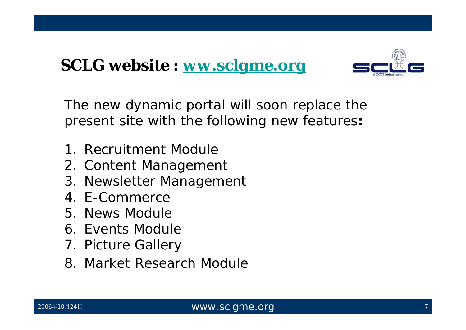# **SCLG website :** *[ww.sclgme.org](http://www.sclgme.org/)*



The new dynamic portal will soon replace the present site with the following new features**:**

- 1. Recruitment Module
- 2. Content Management
- 3. Newsletter Management
- 4. E-Commerce
- 5. News Module
- 6. Events Module
- 7. Picture Gallery
- 8. Market Research Module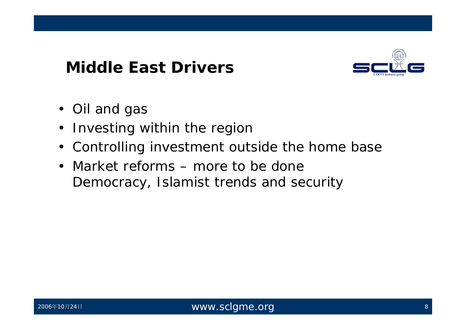# **Middle East Drivers**



- Oil and gas
- •Investing within the region
- Controlling investment outside the home base
- Market reforms more to be doneDemocracy, Islamist trends and security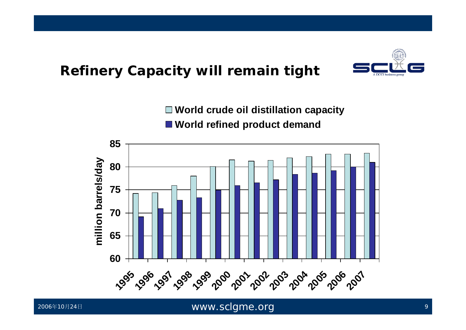

## **Refinery Capacity will remain tight**

**World crude oil distillation capacity World refined product demand**



2006年10月24日 WWW.SClgme.org 9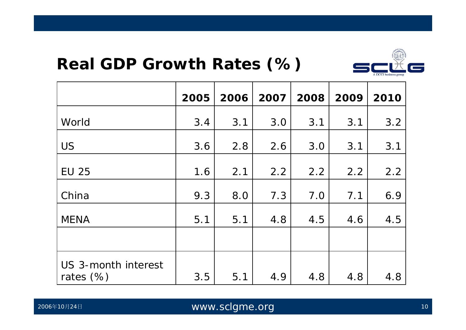## **Real GDP Growth Rates (%)**



|                                     | 2005 | 2006 | 2007 | 2008 | 2009 | 2010 |
|-------------------------------------|------|------|------|------|------|------|
| World                               | 3.4  | 3.1  | 3.0  | 3.1  | 3.1  | 3.2  |
| <b>US</b>                           | 3.6  | 2.8  | 2.6  | 3.0  | 3.1  | 3.1  |
| <b>EU 25</b>                        | 1.6  | 2.1  | 2.2  | 2.2  | 2.2  | 2.2  |
| China                               | 9.3  | 8.0  | 7.3  | 7.0  | 7.1  | 6.9  |
| <b>MENA</b>                         | 5.1  | 5.1  | 4.8  | 4.5  | 4.6  | 4.5  |
|                                     |      |      |      |      |      |      |
| US 3-month interest<br>rates $(\%)$ | 3.5  | 5.1  | 4.9  | 4.8  | 4.8  | 4.8  |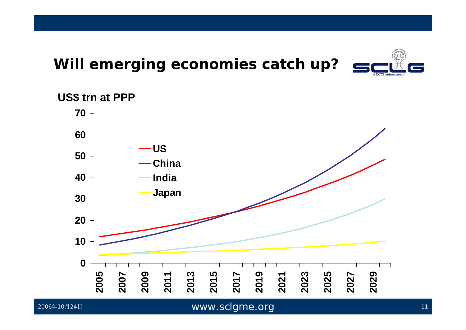## **Will emerging economies catch up?**



#### **US\$ trn at PPP**

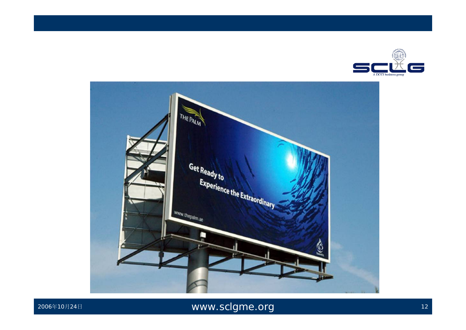

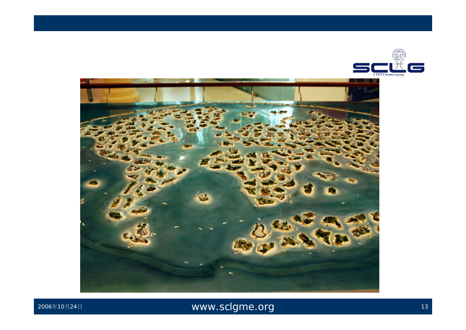

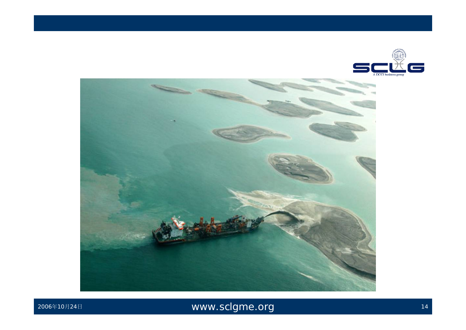

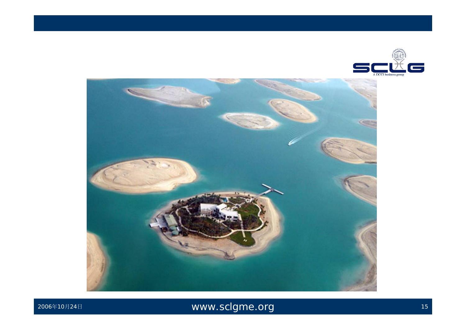

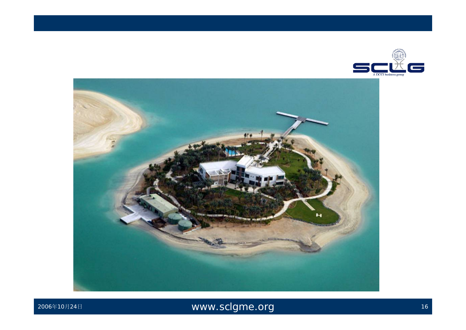

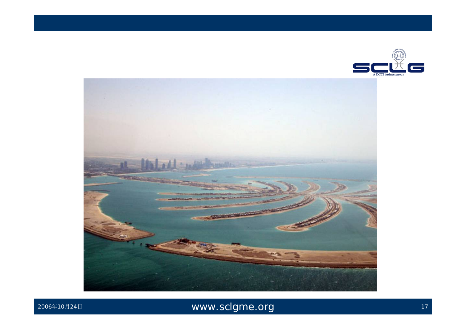

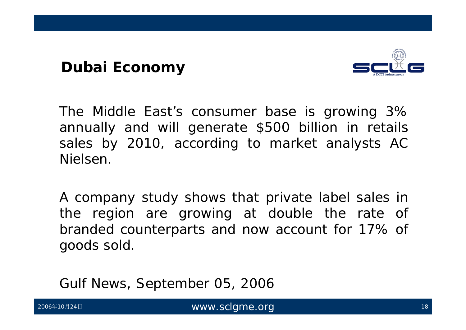## **Dubai Economy**



The Middle East's consumer base is growing 3% annually and will generate \$500 billion in retails sales by 2010, according to market analysts AC Nielsen.

A company study shows that private label sales in the region are growing at double the rate of branded counterparts and now account for 17% of goods sold.

Gulf News, September 05, 2006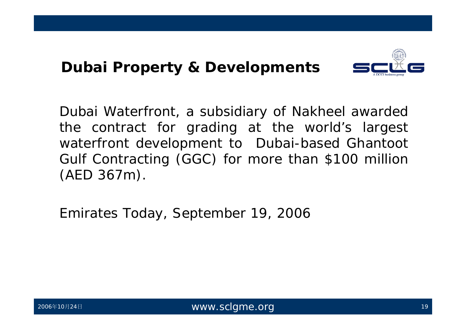### **Dubai Property & Developments**



Dubai Waterfront, a subsidiary of Nakheel awarded the contract for grading at the world's largest waterfront development to Dubai-based Ghantoot Gulf Contracting (GGC) for more than \$100 million (AED 367m).

Emirates Today, September 19, 2006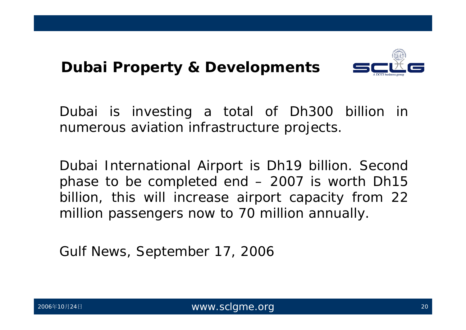### **Dubai Property & Developments**



Dubai is investing a total of Dh300 billion in numerous aviation infrastructure projects.

Dubai International Airport is Dh19 billion. Second phase to be completed end – 2007 is worth Dh15 billion, this will increase airport capacity from 22 million passengers now to 70 million annually.

Gulf News, September 17, 2006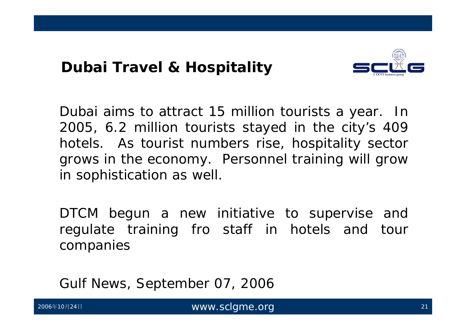## **Dubai Travel & Hospitality**



Dubai aims to attract 15 million tourists a year. In 2005, 6.2 million tourists stayed in the city's 409 hotels. As tourist numbers rise, hospitality sector grows in the economy. Personnel training will grow in sophistication as well.

DTCM begun a new initiative to supervise and regulate training fro staff in hotels and tour companies

Gulf News, September 07, 2006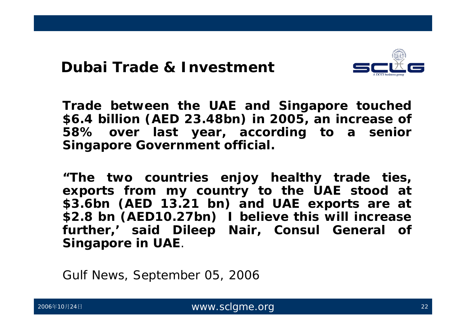#### **Dubai Trade & Investment**



**Trade between the UAE and Singapore touched \$6.4 billion (AED 23.48bn) in 2005, an increase of 58% over last year, according to a senior Singapore Government official.**

**"The two countries enjoy healthy trade ties, exports from my country to the UAE stood at \$3.6bn (AED 13.21 bn) and UAE exports are at \$2.8 bn (AED10.27bn) I believe this will increase further,' said Dileep Nair, Consul General of Singapore in UAE**.

Gulf News, September 05, 2006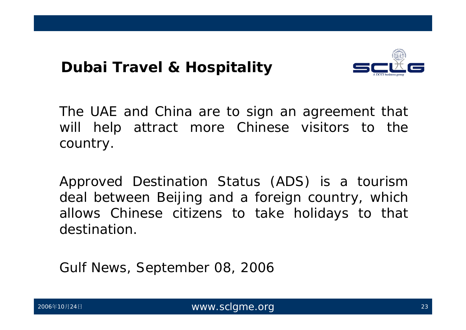## **Dubai Travel & Hospitality**



The UAE and China are to sign an agreement that will help attract more Chinese visitors to the country.

Approved Destination Status (ADS) is a tourism deal between Beijing and a foreign country, which allows Chinese citizens to take holidays to that destination.

Gulf News, September 08, 2006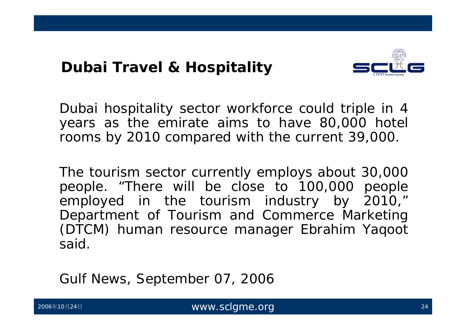### **Dubai Travel & Hospitality**



Dubai hospitality sector workforce could triple in 4 years as the emirate aims to have 80,000 hotel rooms by 2010 compared with the current 39,000.

The tourism sector currently employs about 30,000 people. "There will be close to 100,000 people employed in the tourism industry by 2010," Department of Tourism and Commerce Marketing (DTCM) human resource manager Ebrahim Yaqoot said.

Gulf News, September 07, 2006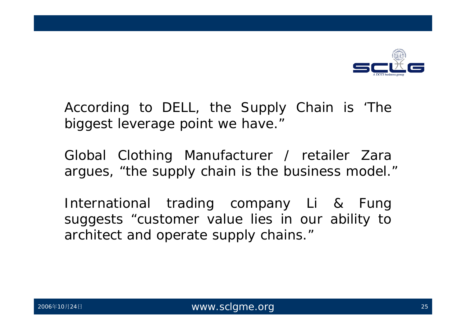

According to DELL, the Supply Chain is 'The biggest leverage point we have."

Global Clothing Manufacturer / retailer Zara argues, "the supply chain is the business model."

International trading company Li & Fung suggests "customer value lies in our ability to architect and operate supply chains."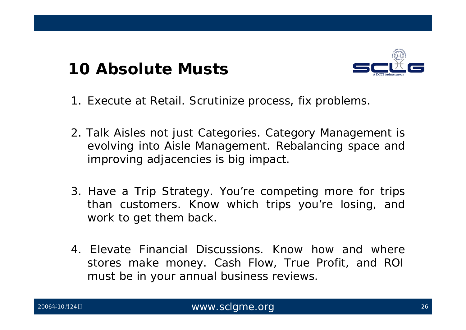# **10 Absolute Musts**



- 1. Execute at Retail. Scrutinize process, fix problems.
- 2. Talk Aisles not just Categories. Category Management is evolving into Aisle Management. Rebalancing space and improving adjacencies is big impact.
- 3. Have a Trip Strategy. You're competing more for trips than customers. Know which trips you're losing, and work to get them back.
- 4. Elevate Financial Discussions. Know how and where stores make money. Cash Flow, True Profit, and ROI must be in your annual business reviews.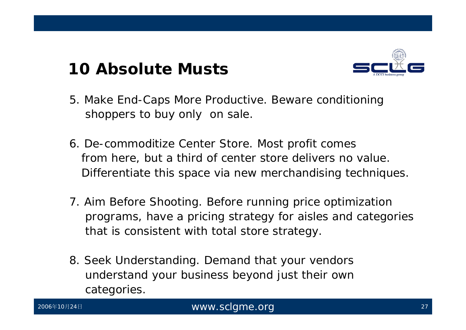# **10 Absolute Musts**



- 5. Make End-Caps More Productive. Beware conditioning shoppers to buy only on sale.
- 6. De-commoditize Center Store. Most profit comes from here, but a third of center store delivers no value. Differentiate this space via new merchandising techniques.
- 7. Aim Before Shooting. Before running price optimization programs, have a pricing strategy for aisles and categories that is consistent with total store strategy.
- 8. Seek Understanding. Demand that your vendors understand your business beyond just their own categories.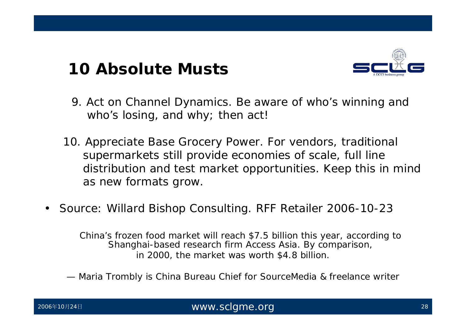# **10 Absolute Musts**



- 9. Act on Channel Dynamics. Be aware of who's winning and who's losing, and why; then act!
- 10. Appreciate Base Grocery Power. For vendors, traditional supermarkets still provide economies of scale, full line distribution and test market opportunities. Keep this in mind as new formats grow.
- •*Source: Willard Bishop Consulting. RFF Retailer 2006-10-23*

*China's frozen food market will reach \$7.5 billion this year, according to Shanghai-based research firm Access Asia. By comparison, in 2000, the market was worth \$4.8 billion.* 

— Maria Trombly is China Bureau Chief for SourceMedia & freelance writer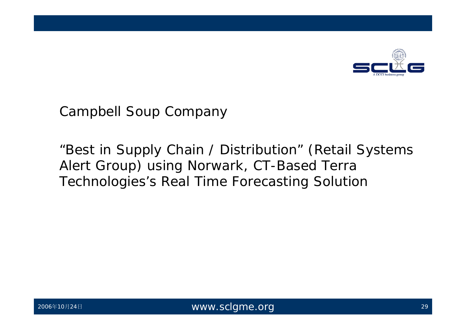

Campbell Soup Company

"Best in Supply Chain / Distribution" (Retail Systems Alert Group) using Norwark, CT-Based Terra Technologies's Real Time Forecasting Solution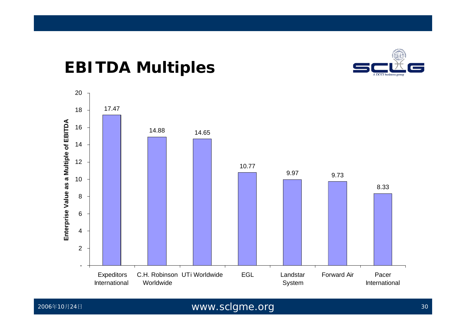

# **EBITDA Multiples**



#### 2006年10月24日 WWW.SClgme.org 30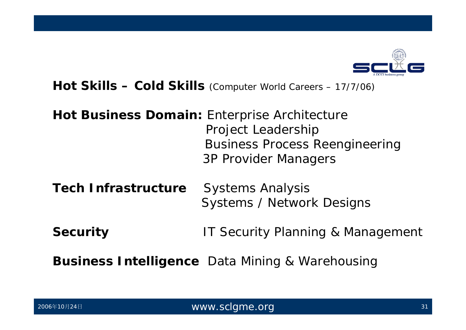

#### **Hot Skills – Cold Skills** (Computer World Careers – 17/7/06)

#### **Hot Business Domain:** Enterprise Architecture Project Leadership Business Process Reengineering 3P Provider Managers

**Tech Infrastructure** Systems Analysis Systems / Network Designs

**Security IT Security Planning & Management** 

**Business Intelligence** Data Mining & Warehousing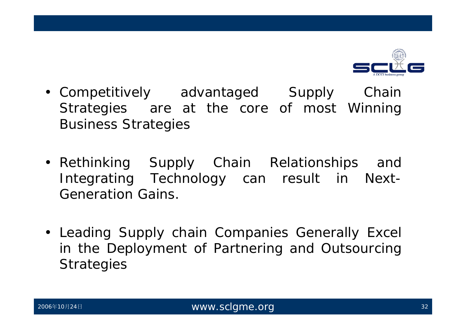

- Competitively advantaged Supply Chain Strategies are at the core of most Winning Business Strategies
- Rethinking Supply Chain Relationships and Integrating Technology can result in Next-Generation Gains.
- Leading Supply chain Companies Generally Excel in the Deployment of Partnering and Outsourcing **Strategies**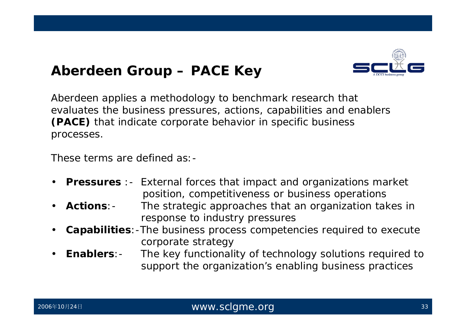

#### **Aberdeen Group – PACE Key**

Aberdeen applies a methodology to benchmark research that evaluates the business pressures, actions, capabilities and enablers **(PACE)** that indicate corporate behavior in specific business processes.

These terms are defined as:-

- • **Pressures** :- External forces that impact and organizations market position, competitiveness or business operations
- • **Actions**:- The strategic approaches that an organization takes in response to industry pressures
- • **Capabilities**:-The business process competencies required to execute corporate strategy
- • **Enablers**:- The key functionality of technology solutions required to support the organization's enabling business practices